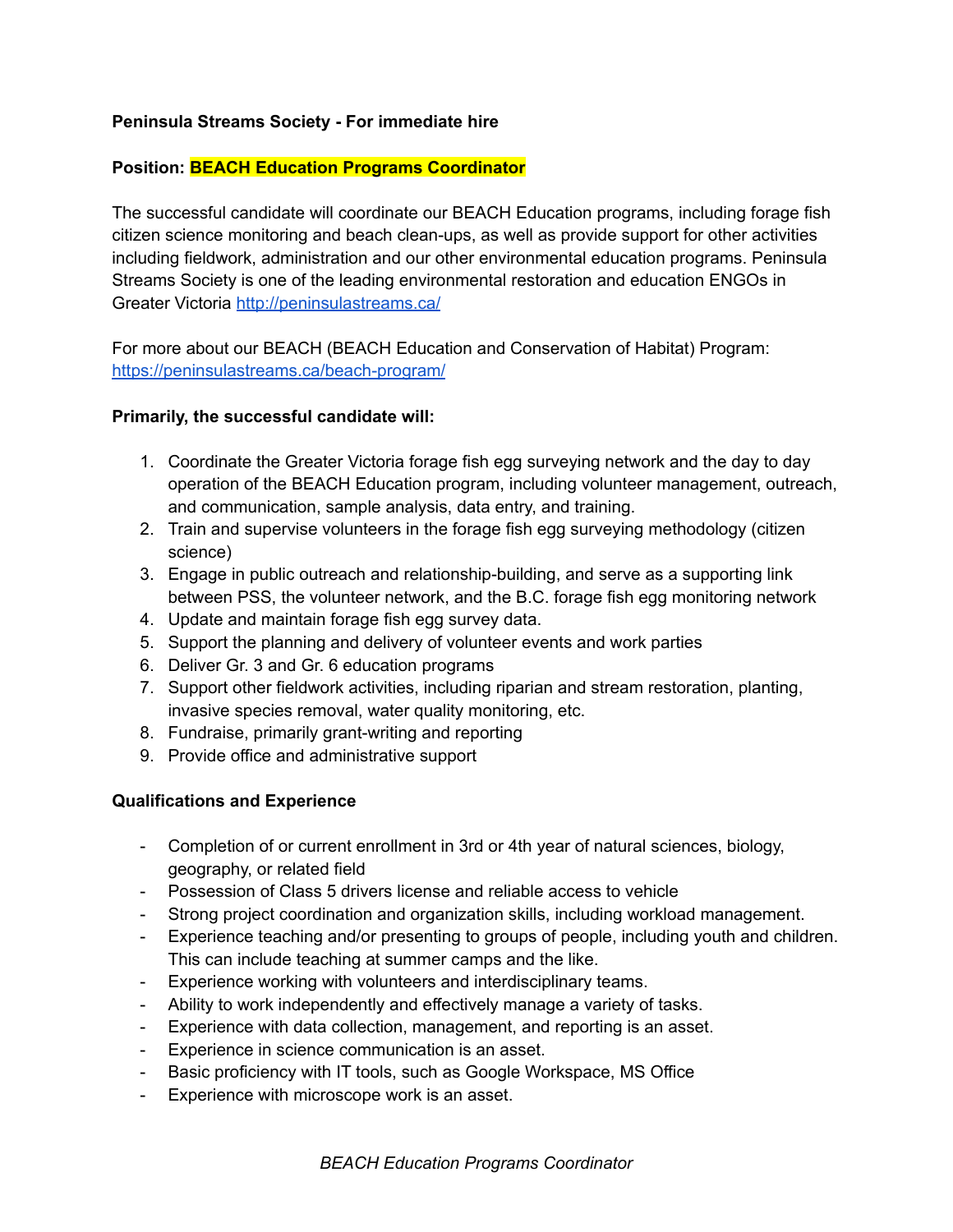## **Peninsula Streams Society - For immediate hire**

## **Position: BEACH Education Programs Coordinator**

The successful candidate will coordinate our BEACH Education programs, including forage fish citizen science monitoring and beach clean-ups, as well as provide support for other activities including fieldwork, administration and our other environmental education programs. Peninsula Streams Society is one of the leading environmental restoration and education ENGOs in Greater Victoria <http://peninsulastreams.ca/>

For more about our BEACH (BEACH Education and Conservation of Habitat) Program: <https://peninsulastreams.ca/beach-program/>

## **Primarily, the successful candidate will:**

- 1. Coordinate the Greater Victoria forage fish egg surveying network and the day to day operation of the BEACH Education program, including volunteer management, outreach, and communication, sample analysis, data entry, and training.
- 2. Train and supervise volunteers in the forage fish egg surveying methodology (citizen science)
- 3. Engage in public outreach and relationship-building, and serve as a supporting link between PSS, the volunteer network, and the B.C. forage fish egg monitoring network
- 4. Update and maintain forage fish egg survey data.
- 5. Support the planning and delivery of volunteer events and work parties
- 6. Deliver Gr. 3 and Gr. 6 education programs
- 7. Support other fieldwork activities, including riparian and stream restoration, planting, invasive species removal, water quality monitoring, etc.
- 8. Fundraise, primarily grant-writing and reporting
- 9. Provide office and administrative support

# **Qualifications and Experience**

- Completion of or current enrollment in 3rd or 4th year of natural sciences, biology, geography, or related field
- Possession of Class 5 drivers license and reliable access to vehicle
- Strong project coordination and organization skills, including workload management.
- Experience teaching and/or presenting to groups of people, including youth and children. This can include teaching at summer camps and the like.
- Experience working with volunteers and interdisciplinary teams.
- Ability to work independently and effectively manage a variety of tasks.
- Experience with data collection, management, and reporting is an asset.
- Experience in science communication is an asset.
- Basic proficiency with IT tools, such as Google Workspace, MS Office
- Experience with microscope work is an asset.